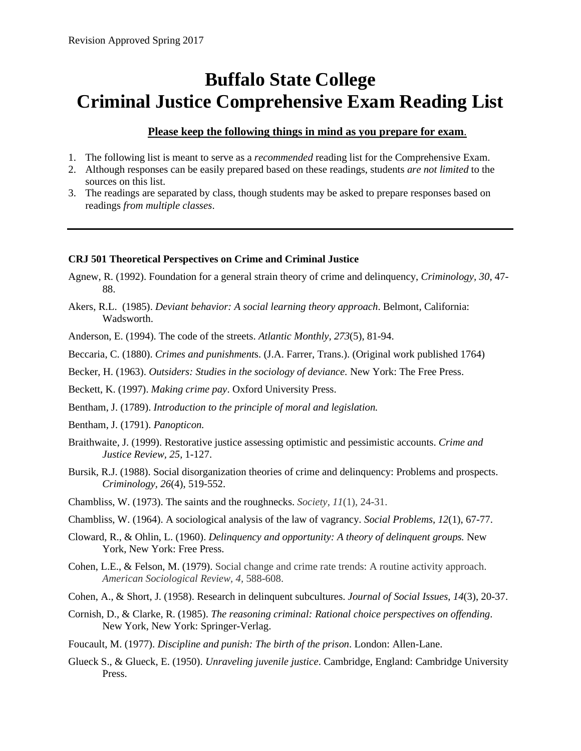# **Buffalo State College Criminal Justice Comprehensive Exam Reading List**

## **Please keep the following things in mind as you prepare for exam**.

- 1. The following list is meant to serve as a *recommended* reading list for the Comprehensive Exam.
- 2. Although responses can be easily prepared based on these readings, students *are not limited* to the sources on this list.
- 3. The readings are separated by class, though students may be asked to prepare responses based on readings *from multiple classes*.

## **CRJ 501 Theoretical Perspectives on Crime and Criminal Justice**

- Agnew, R. (1992). Foundation for a general strain theory of crime and delinquency, *Criminology, 30,* 47- 88.
- Akers, R.L. (1985). *Deviant behavior: A social learning theory approach*. Belmont, California: Wadsworth.
- Anderson, E. (1994). The code of the streets. *Atlantic Monthly, 273*(5), 81-94.
- Beccaria, C. (1880). *Crimes and punishment*s. (J.A. Farrer, Trans.). (Original work published 1764)

Becker, H. (1963). *Outsiders: Studies in the sociology of deviance.* New York: The Free Press.

- Beckett, K. (1997). *Making crime pay*. Oxford University Press.
- Bentham, J. (1789). *Introduction to the principle of moral and legislation.*
- Bentham, J. (1791). *Panopticon.*
- Braithwaite, J. (1999). Restorative justice assessing optimistic and pessimistic accounts. *Crime and Justice Review, 25,* 1-127.
- Bursik, R.J. (1988). Social disorganization theories of crime and delinquency: Problems and prospects. *Criminology, 26*(4), 519-552.
- Chambliss, W. (1973). The saints and the roughnecks. *Society, 11*(1), 24-31.
- Chambliss, W. (1964). A sociological analysis of the law of vagrancy*. Social Problems, 12*(1), 67-77.
- Cloward, R., & Ohlin, L. (1960). *Delinquency and opportunity: A theory of delinquent groups.* New York, New York: Free Press.
- Cohen, L.E., & Felson, M. (1979). Social change and crime rate trends: A routine activity approach. *American Sociological Review, 4,* 588-608.
- Cohen, A., & Short, J. (1958). Research in delinquent subcultures. *Journal of Social Issues*, *14*(3), 20-37.
- Cornish, D., & Clarke, R. (1985). *The reasoning criminal: Rational choice perspectives on offending*. New York, New York: Springer-Verlag.
- Foucault, M. (1977). *Discipline and punish: The birth of the prison*. London: Allen-Lane.
- Glueck S., & Glueck, E. (1950). *Unraveling juvenile justice*. Cambridge, England: Cambridge University Press.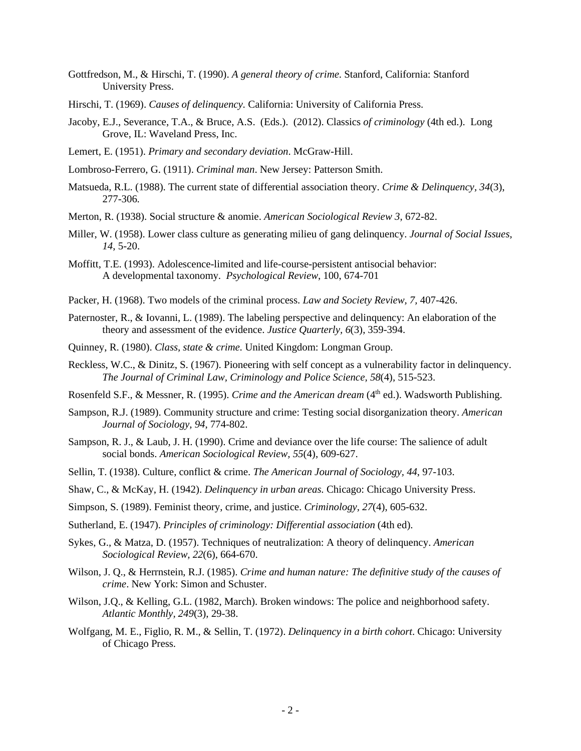- Gottfredson, M., & Hirschi, T. (1990). *A general theory of crime*. Stanford, California: Stanford University Press.
- Hirschi, T. (1969). *Causes of delinquency.* California: University of California Press.
- Jacoby, E.J., Severance, T.A., & Bruce, A.S. (Eds.). (2012). Classics *of criminology* (4th ed.). Long Grove, IL: Waveland Press, Inc.
- Lemert, E. (1951). *Primary and secondary deviation*. McGraw-Hill.
- Lombroso-Ferrero, G. (1911). *Criminal man*. New Jersey: Patterson Smith.
- Matsueda, R.L. (1988). The current state of differential association theory. *Crime & Delinquency, 34*(3), 277-306*.*
- Merton, R. (1938). Social structure & anomie. *American Sociological Review 3*, 672-82.
- Miller, W. (1958). Lower class culture as generating milieu of gang delinquency. *Journal of Social Issues, 14*, 5-20.
- Moffitt, T.E. (1993). Adolescence-limited and life-course-persistent antisocial behavior: A developmental taxonomy. *Psychological Review*, 100, 674-701
- Packer, H. (1968). Two models of the criminal process. *Law and Society Review, 7,* 407-426.
- Paternoster, R., & Iovanni, L. (1989). The labeling perspective and delinquency: An elaboration of the theory and assessment of the evidence. *Justice Quarterly, 6*(3), 359-394.
- Quinney, R. (1980). *Class, state & crime.* United Kingdom: Longman Group.
- Reckless, W.C., & Dinitz, S. (1967). Pioneering with self concept as a vulnerability factor in delinquency. *The Journal of Criminal Law, Criminology and Police Science, 58*(4)*,* 515-523.
- Rosenfeld S.F., & Messner, R. (1995). *Crime and the American dream* (4<sup>th</sup> ed.). Wadsworth Publishing.
- Sampson, R.J. (1989). Community structure and crime: Testing social disorganization theory. *American Journal of Sociology, 94*, 774-802.
- Sampson, R. J., & Laub, J. H. (1990). Crime and deviance over the life course: The salience of adult social bonds. *American Sociological Review, 55*(4), 609-627.
- Sellin, T. (1938). Culture, conflict & crime. *The American Journal of Sociology, 44*, 97-103.
- Shaw, C., & McKay, H. (1942). *Delinquency in urban areas.* Chicago: Chicago University Press.
- Simpson, S. (1989). Feminist theory, crime, and justice. *Criminology, 27*(4), 605-632.
- Sutherland, E. (1947). *Principles of criminology: Differential association* (4th ed).
- Sykes, G., & Matza, D. (1957). Techniques of neutralization: A theory of delinquency. *American Sociological Review, 22*(6), 664-670.
- Wilson, J. Q., & Herrnstein, R.J. (1985). *Crime and human nature: The definitive study of the causes of crime*. New York: Simon and Schuster.
- Wilson, J.Q., & Kelling, G.L. (1982, March). Broken windows: The police and neighborhood safety. *Atlantic Monthly, 249*(3), 29-38.
- Wolfgang, M. E., Figlio, R. M., & Sellin, T. (1972). *Delinquency in a birth cohort*. Chicago: University of Chicago Press.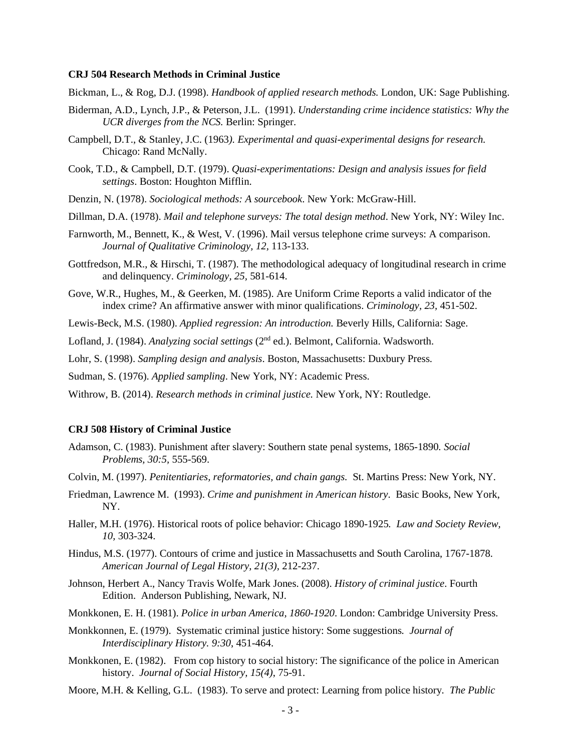#### **CRJ 504 Research Methods in Criminal Justice**

- Bickman, L., & Rog, D.J. (1998). *Handbook of applied research methods.* London, UK: Sage Publishing.
- Biderman, A.D., Lynch, J.P., & Peterson, J.L. (1991). *Understanding crime incidence statistics: Why the UCR diverges from the NCS.* Berlin: Springer.
- Campbell, D.T., & Stanley, J.C. (1963*). Experimental and quasi-experimental designs for research.* Chicago: Rand McNally.
- Cook, T.D., & Campbell, D.T. (1979). *Quasi-experimentations: Design and analysis issues for field settings*. Boston: Houghton Mifflin.
- Denzin, N. (1978). *Sociological methods: A sourcebook*. New York: McGraw-Hill.
- Dillman, D.A. (1978). *Mail and telephone surveys: The total design method*. New York, NY: Wiley Inc.
- Farnworth, M., Bennett, K., & West, V. (1996). Mail versus telephone crime surveys: A comparison. *Journal of Qualitative Criminology, 12,* 113-133.
- Gottfredson, M.R., & Hirschi, T. (1987). The methodological adequacy of longitudinal research in crime and delinquency. *Criminology, 25,* 581-614.
- Gove, W.R., Hughes, M., & Geerken, M. (1985). Are Uniform Crime Reports a valid indicator of the index crime? An affirmative answer with minor qualifications. *Criminology, 23,* 451-502.
- Lewis-Beck, M.S. (1980). *Applied regression: An introduction.* Beverly Hills, California: Sage.

Lofland, J. (1984). *Analyzing social settings* (2<sup>nd</sup> ed.). Belmont, California. Wadsworth.

Lohr, S. (1998). *Sampling design and analysis*. Boston, Massachusetts: Duxbury Press.

Sudman, S. (1976). *Applied sampling*. New York, NY: Academic Press.

Withrow, B. (2014). *Research methods in criminal justice.* New York, NY: Routledge.

#### **CRJ 508 History of Criminal Justice**

- Adamson, C. (1983). Punishment after slavery: Southern state penal systems, 1865-1890*. Social Problems, 30:5,* 555-569.
- Colvin, M. (1997). *Penitentiaries, reformatories, and chain gangs.* St. Martins Press: New York, NY.
- Friedman, Lawrence M. (1993). *Crime and punishment in American history*. Basic Books, New York, NY.
- Haller, M.H. (1976). Historical roots of police behavior: Chicago 1890-1925*. Law and Society Review, 10,* 303-324.
- Hindus, M.S. (1977). Contours of crime and justice in Massachusetts and South Carolina, 1767-1878. *American Journal of Legal History, 21(3),* 212-237.
- Johnson, Herbert A., Nancy Travis Wolfe, Mark Jones. (2008). *History of criminal justice*. Fourth Edition. Anderson Publishing, Newark, NJ.
- Monkkonen, E. H. (1981). *Police in urban America, 1860-1920*. London: Cambridge University Press.
- Monkkonnen, E. (1979). Systematic criminal justice history: Some suggestions*. Journal of Interdisciplinary History. 9:30*, 451-464.
- Monkkonen, E. (1982). From cop history to social history: The significance of the police in American history. *Journal of Social History, 15(4)*, 75-91.
- Moore, M.H. & Kelling, G.L. (1983). To serve and protect: Learning from police history*. The Public*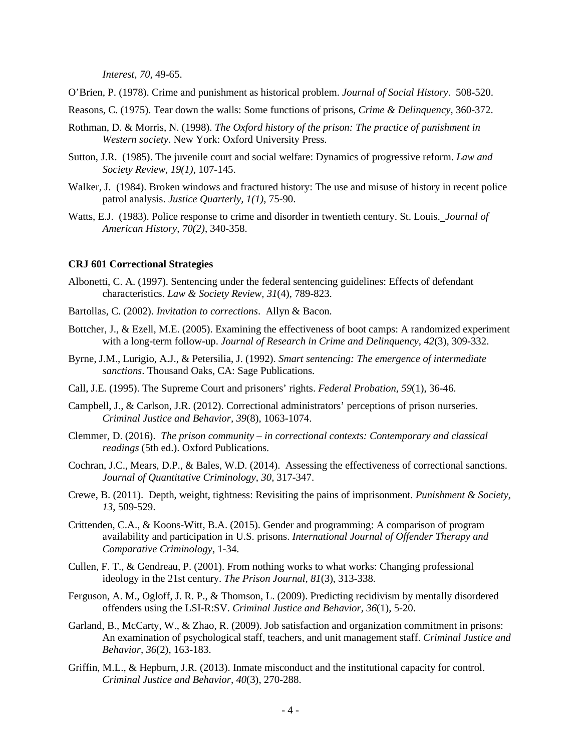*Interest, 70,* 49-65.

- O'Brien, P. (1978). Crime and punishment as historical problem. *Journal of Social History*. 508-520.
- Reasons, C. (1975). Tear down the walls: Some functions of prisons, *Crime & Delinquency*, 360-372.
- Rothman, D. & Morris, N. (1998). *The Oxford history of the prison: The practice of punishment in Western society*. New York: Oxford University Press.
- Sutton, J.R. (1985). The juvenile court and social welfare: Dynamics of progressive reform. *Law and Society Review, 19(1)*, 107-145.
- Walker, J. (1984). Broken windows and fractured history: The use and misuse of history in recent police patrol analysis. *Justice Quarterly, 1(1)*, 75-90.
- Watts, E.J. (1983). Police response to crime and disorder in twentieth century. St. Louis. *Journal of American History, 70(2)*, 340-358.

#### **CRJ 601 Correctional Strategies**

- Albonetti, C. A. (1997). Sentencing under the federal sentencing guidelines: Effects of defendant characteristics. *Law & Society Review, 31*(4), 789-823.
- Bartollas, C. (2002). *Invitation to corrections*. Allyn & Bacon.
- Bottcher, J., & Ezell, M.E. (2005). Examining the effectiveness of boot camps: A randomized experiment with a long-term follow-up. *Journal of Research in Crime and Delinquency, 42*(3), 309-332.
- Byrne, J.M., Lurigio, A.J., & Petersilia, J. (1992). *Smart sentencing: The emergence of intermediate sanctions*. Thousand Oaks, CA: Sage Publications.
- Call, J.E. (1995). The Supreme Court and prisoners' rights. *Federal Probation, 59*(1), 36-46.
- Campbell, J., & Carlson, J.R. (2012). Correctional administrators' perceptions of prison nurseries. *Criminal Justice and Behavior, 39*(8), 1063-1074.
- Clemmer, D. (2016). *The prison community – in correctional contexts: Contemporary and classical readings* (5th ed.). Oxford Publications.
- Cochran, J.C., Mears, D.P., & Bales, W.D. (2014). Assessing the effectiveness of correctional sanctions. *Journal of Quantitative Criminology*, *30*, 317-347.
- Crewe, B. (2011). Depth, weight, tightness: Revisiting the pains of imprisonment. *Punishment & Society, 13*, 509-529.
- Crittenden, C.A., & Koons-Witt, B.A. (2015). Gender and programming: A comparison of program availability and participation in U.S. prisons. *International Journal of Offender Therapy and Comparative Criminology*, 1-34.
- Cullen, F. T., & Gendreau, P. (2001). From nothing works to what works: Changing professional ideology in the 21st century. *The Prison Journal, 81*(3), 313-338.
- Ferguson, A. M., Ogloff, J. R. P., & Thomson, L. (2009). Predicting recidivism by mentally disordered offenders using the LSI-R:SV. *Criminal Justice and Behavior, 36*(1), 5-20.
- Garland, B., McCarty, W., & Zhao, R. (2009). Job satisfaction and organization commitment in prisons: An examination of psychological staff, teachers, and unit management staff. *Criminal Justice and Behavior, 36*(2), 163-183.
- Griffin, M.L., & Hepburn, J.R. (2013). Inmate misconduct and the institutional capacity for control. *Criminal Justice and Behavior, 40*(3), 270-288.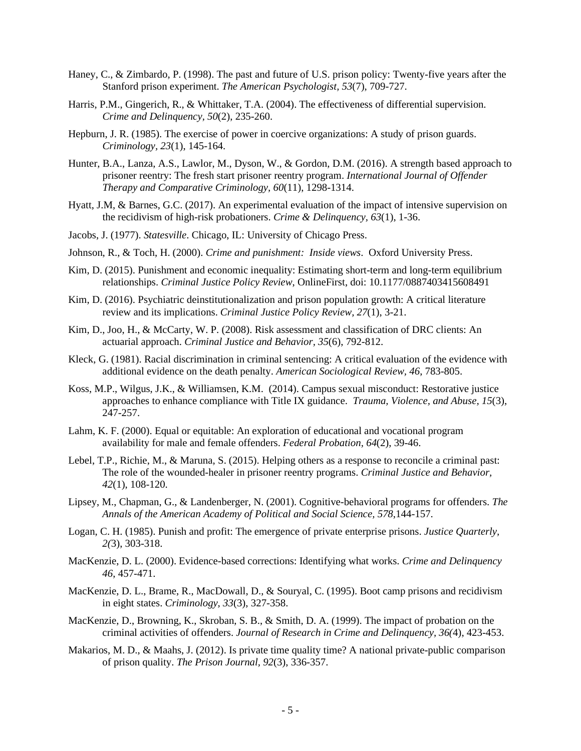- Haney, C., & Zimbardo, P. (1998). The past and future of U.S. prison policy: Twenty-five years after the Stanford prison experiment. *The American Psychologist, 53*(7), 709-727.
- Harris, P.M., Gingerich, R., & Whittaker, T.A. (2004). The effectiveness of differential supervision. *Crime and Delinquency, 50*(2), 235-260.
- Hepburn, J. R. (1985). The exercise of power in coercive organizations: A study of prison guards. *Criminology, 23*(1), 145-164.
- Hunter, B.A., Lanza, A.S., Lawlor, M., Dyson, W., & Gordon, D.M. (2016). A strength based approach to prisoner reentry: The fresh start prisoner reentry program. *International Journal of Offender Therapy and Comparative Criminology, 60*(11), 1298-1314.
- Hyatt, J.M, & Barnes, G.C. (2017). An experimental evaluation of the impact of intensive supervision on the recidivism of high-risk probationers. *Crime & Delinquency, 63*(1), 1-36.
- Jacobs, J. (1977). *Statesville*. Chicago, IL: University of Chicago Press.
- Johnson, R., & Toch, H. (2000). *Crime and punishment: Inside views*. Oxford University Press.
- Kim, D. (2015). Punishment and economic inequality: Estimating short-term and long-term equilibrium relationships. *Criminal Justice Policy Review*, OnlineFirst, doi: 10.1177/0887403415608491
- Kim, D. (2016). Psychiatric deinstitutionalization and prison population growth: A critical literature review and its implications. *Criminal Justice Policy Review, 27*(1), 3-21.
- Kim, D., Joo, H., & McCarty, W. P. (2008). Risk assessment and classification of DRC clients: An actuarial approach. *Criminal Justice and Behavior, 35*(6), 792-812.
- Kleck, G. (1981). Racial discrimination in criminal sentencing: A critical evaluation of the evidence with additional evidence on the death penalty. *American Sociological Review, 46*, 783-805.
- Koss, M.P., Wilgus, J.K., & Williamsen, K.M. (2014). Campus sexual misconduct: Restorative justice approaches to enhance compliance with Title IX guidance. *Trauma, Violence, and Abuse, 15*(3), 247-257.
- Lahm, K. F. (2000). Equal or equitable: An exploration of educational and vocational program availability for male and female offenders. *Federal Probation, 64*(2), 39-46.
- Lebel, T.P., Richie, M., & Maruna, S. (2015). Helping others as a response to reconcile a criminal past: The role of the wounded-healer in prisoner reentry programs. *Criminal Justice and Behavior, 42*(1), 108-120.
- Lipsey, M., Chapman, G., & Landenberger, N. (2001). Cognitive-behavioral programs for offenders. *The Annals of the American Academy of Political and Social Science, 578*,144-157.
- Logan, C. H. (1985). Punish and profit: The emergence of private enterprise prisons. *Justice Quarterly, 2(*3), 303-318.
- MacKenzie, D. L. (2000). Evidence-based corrections: Identifying what works. *Crime and Delinquency 46*, 457-471.
- MacKenzie, D. L., Brame, R., MacDowall, D., & Souryal, C. (1995). Boot camp prisons and recidivism in eight states. *Criminology, 33*(3), 327-358.
- MacKenzie, D., Browning, K., Skroban, S. B., & Smith, D. A. (1999). The impact of probation on the criminal activities of offenders. *Journal of Research in Crime and Delinquency, 36(*4), 423-453.
- Makarios, M. D., & Maahs, J. (2012). Is private time quality time? A national private-public comparison of prison quality. *The Prison Journal, 92*(3), 336-357.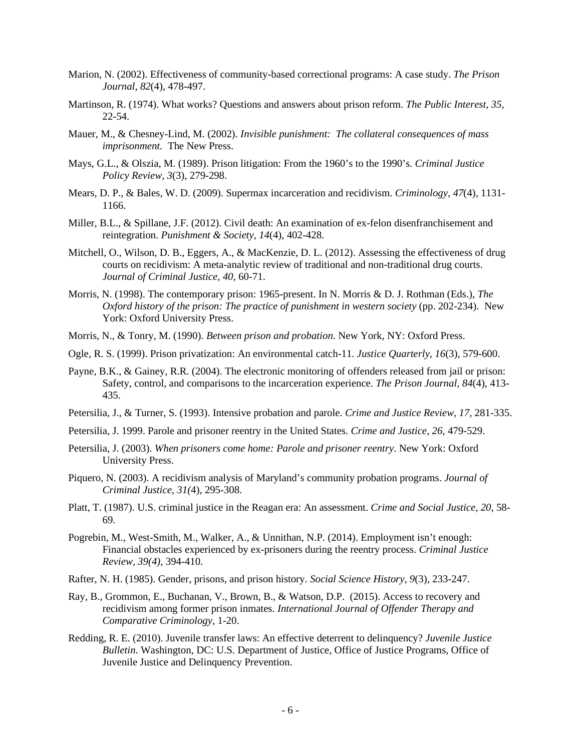- Marion, N. (2002). Effectiveness of community-based correctional programs: A case study. *The Prison Journal, 82*(4), 478-497.
- Martinson, R. (1974). What works? Questions and answers about prison reform. *The Public Interest, 35,* 22-54.
- Mauer, M., & Chesney-Lind, M. (2002). *Invisible punishment: The collateral consequences of mass imprisonment.* The New Press.
- Mays, G.L., & Olszia, M. (1989). Prison litigation: From the 1960's to the 1990's. *Criminal Justice Policy Review, 3*(3), 279-298.
- Mears, D. P., & Bales, W. D. (2009). Supermax incarceration and recidivism. *Criminology, 47*(4), 1131- 1166.
- Miller, B.L., & Spillane, J.F. (2012). Civil death: An examination of ex-felon disenfranchisement and reintegration. *Punishment & Society, 14*(4), 402-428.
- Mitchell, O., Wilson, D. B., Eggers, A., & MacKenzie, D. L. (2012). Assessing the effectiveness of drug courts on recidivism: A meta-analytic review of traditional and non-traditional drug courts. *Journal of Criminal Justice, 40*, 60-71.
- Morris, N. (1998). The contemporary prison: 1965-present. In N. Morris & D. J. Rothman (Eds.), *The Oxford history of the prison: The practice of punishment in western society (pp. 202-234).* New York: Oxford University Press.
- Morris, N., & Tonry, M. (1990). *Between prison and probation*. New York, NY: Oxford Press.
- Ogle, R. S. (1999). Prison privatization: An environmental catch-11. *Justice Quarterly, 16*(3), 579-600.
- Payne, B.K., & Gainey, R.R. (2004). The electronic monitoring of offenders released from jail or prison: Safety, control, and comparisons to the incarceration experience. *The Prison Journal, 84*(4), 413- 435.
- Petersilia, J., & Turner, S. (1993). Intensive probation and parole. *Crime and Justice Review, 17*, 281-335.
- Petersilia, J. 1999. Parole and prisoner reentry in the United States. *Crime and Justice, 26*, 479-529.
- Petersilia, J. (2003). *When prisoners come home: Parole and prisoner reentry*. New York: Oxford University Press.
- Piquero, N. (2003). A recidivism analysis of Maryland's community probation programs. *Journal of Criminal Justice, 31(*4), 295-308.
- Platt, T. (1987). U.S. criminal justice in the Reagan era: An assessment. *Crime and Social Justice, 20*, 58- 69.
- Pogrebin, M., West-Smith, M., Walker, A., & Unnithan, N.P. (2014). Employment isn't enough: Financial obstacles experienced by ex-prisoners during the reentry process. *Criminal Justice Review, 39(4),* 394-410.
- Rafter, N. H. (1985). Gender, prisons, and prison history. *Social Science History, 9*(3), 233-247.
- Ray, B., Grommon, E., Buchanan, V., Brown, B., & Watson, D.P. (2015). Access to recovery and recidivism among former prison inmates. *International Journal of Offender Therapy and Comparative Criminology,* 1-20.
- Redding, R. E. (2010). Juvenile transfer laws: An effective deterrent to delinquency? *Juvenile Justice Bulletin*. Washington, DC: U.S. Department of Justice, Office of Justice Programs, Office of Juvenile Justice and Delinquency Prevention.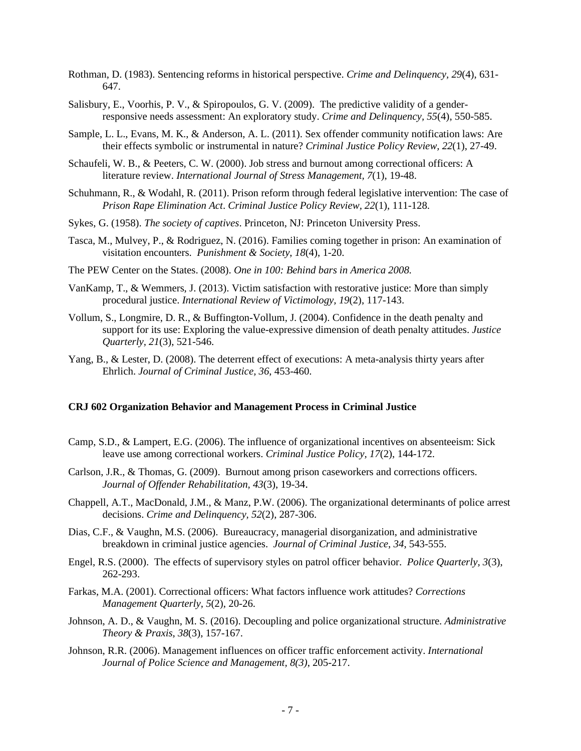- Rothman, D. (1983). Sentencing reforms in historical perspective. *Crime and Delinquency, 29*(4), 631- 647.
- Salisbury, E., Voorhis, P. V., & Spiropoulos, G. V. (2009). The predictive validity of a genderresponsive needs assessment: An exploratory study. *Crime and Delinquency, 55*(4), 550-585.
- Sample, L. L., Evans, M. K., & Anderson, A. L. (2011). Sex offender community notification laws: Are their effects symbolic or instrumental in nature? *Criminal Justice Policy Review, 22*(1), 27-49.
- Schaufeli, W. B., & Peeters, C. W. (2000). Job stress and burnout among correctional officers: A literature review. *International Journal of Stress Management, 7*(1), 19-48.
- Schuhmann, R., & Wodahl, R. (2011). Prison reform through federal legislative intervention: The case of *Prison Rape Elimination Act*. *Criminal Justice Policy Review, 22*(1), 111-128.
- Sykes, G. (1958). *The society of captives*. Princeton, NJ: Princeton University Press.
- Tasca, M., Mulvey, P., & Rodriguez, N. (2016). Families coming together in prison: An examination of visitation encounters. *Punishment & Society*, *18*(4), 1-20.
- The PEW Center on the States. (2008). *One in 100: Behind bars in America 2008.*
- VanKamp, T., & Wemmers, J. (2013). Victim satisfaction with restorative justice: More than simply procedural justice. *International Review of Victimology, 19*(2), 117-143.
- Vollum, S., Longmire, D. R., & Buffington-Vollum, J. (2004). Confidence in the death penalty and support for its use: Exploring the value-expressive dimension of death penalty attitudes. *Justice Quarterly, 21*(3), 521-546.
- Yang, B., & Lester, D. (2008). The deterrent effect of executions: A meta-analysis thirty years after Ehrlich. *Journal of Criminal Justice, 36*, 453-460.

## **CRJ 602 Organization Behavior and Management Process in Criminal Justice**

- Camp, S.D., & Lampert, E.G. (2006). The influence of organizational incentives on absenteeism: Sick leave use among correctional workers. *Criminal Justice Policy, 17*(2), 144-172.
- Carlson, J.R., & Thomas, G. (2009). Burnout among prison caseworkers and corrections officers. *Journal of Offender Rehabilitation, 43*(3), 19-34.
- Chappell, A.T., MacDonald, J.M., & Manz, P.W. (2006). The organizational determinants of police arrest decisions. *Crime and Delinquency, 52*(2), 287-306.
- Dias, C.F., & Vaughn, M.S. (2006). Bureaucracy, managerial disorganization, and administrative breakdown in criminal justice agencies. *Journal of Criminal Justice*, *34*, 543-555.
- Engel, R.S. (2000). The effects of supervisory styles on patrol officer behavior. *Police Quarterly, 3*(3), 262-293.
- Farkas, M.A. (2001). Correctional officers: What factors influence work attitudes? *Corrections Management Quarterly, 5*(2), 20-26.
- Johnson, A. D., & Vaughn, M. S. (2016). Decoupling and police organizational structure. *Administrative Theory & Praxis*, *38*(3), 157-167.
- Johnson, R.R. (2006). Management influences on officer traffic enforcement activity. *International Journal of Police Science and Management, 8(3)*, 205-217.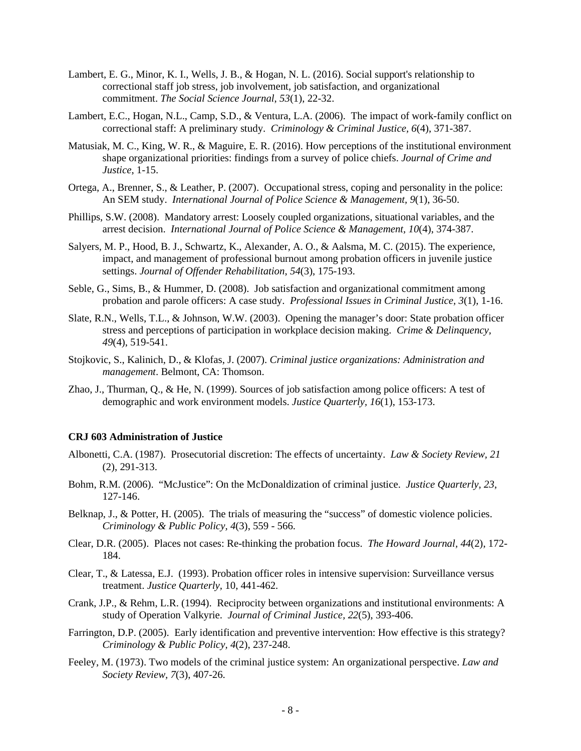- Lambert, E. G., Minor, K. I., Wells, J. B., & Hogan, N. L. (2016). Social support's relationship to correctional staff job stress, job involvement, job satisfaction, and organizational commitment. *The Social Science Journal*, *53*(1), 22-32.
- Lambert, E.C., Hogan, N.L., Camp, S.D., & Ventura, L.A. (2006). The impact of work-family conflict on correctional staff: A preliminary study. *Criminology & Criminal Justice, 6*(4), 371-387.
- Matusiak, M. C., King, W. R., & Maguire, E. R. (2016). How perceptions of the institutional environment shape organizational priorities: findings from a survey of police chiefs. *Journal of Crime and Justice*, 1-15.
- Ortega, A., Brenner, S., & Leather, P. (2007). Occupational stress, coping and personality in the police: An SEM study. *International Journal of Police Science & Management, 9*(1), 36-50.
- Phillips, S.W. (2008). Mandatory arrest: Loosely coupled organizations, situational variables, and the arrest decision. *International Journal of Police Science & Management, 10*(4), 374-387.
- Salyers, M. P., Hood, B. J., Schwartz, K., Alexander, A. O., & Aalsma, M. C. (2015). The experience, impact, and management of professional burnout among probation officers in juvenile justice settings. *Journal of Offender Rehabilitation*, *54*(3), 175-193.
- Seble, G., Sims, B., & Hummer, D. (2008). Job satisfaction and organizational commitment among probation and parole officers: A case study. *Professional Issues in Criminal Justice, 3*(1), 1-16.
- Slate, R.N., Wells, T.L., & Johnson, W.W. (2003). Opening the manager's door: State probation officer stress and perceptions of participation in workplace decision making. *Crime & Delinquency, 49*(4), 519-541.
- Stojkovic, S., Kalinich, D., & Klofas, J. (2007). *Criminal justice organizations: Administration and management*. Belmont, CA: Thomson.
- Zhao, J., Thurman, Q., & He, N. (1999). Sources of job satisfaction among police officers: A test of demographic and work environment models. *Justice Quarterly, 16*(1), 153-173.

#### **CRJ 603 Administration of Justice**

- Albonetti, C.A. (1987). Prosecutorial discretion: The effects of uncertainty. *Law & Society Review, 21*  (2), 291-313.
- Bohm, R.M. (2006). "McJustice": On the McDonaldization of criminal justice. *Justice Quarterly, 23*, 127-146.
- Belknap, J., & Potter, H. (2005). The trials of measuring the "success" of domestic violence policies. *Criminology & Public Policy, 4*(3), 559 - 566.
- Clear, D.R. (2005). Places not cases: Re-thinking the probation focus. *The Howard Journal, 44*(2), 172- 184.
- Clear, T., & Latessa, E.J. (1993). Probation officer roles in intensive supervision: Surveillance versus treatment. *Justice Quarterly,* 10, 441-462.
- Crank, J.P., & Rehm, L.R. (1994). Reciprocity between organizations and institutional environments: A study of Operation Valkyrie. *Journal of Criminal Justice, 22*(5), 393-406.
- Farrington, D.P. (2005). Early identification and preventive intervention: How effective is this strategy? *Criminology & Public Policy, 4*(2), 237-248.
- Feeley, M. (1973). Two models of the criminal justice system: An organizational perspective. *Law and Society Review, 7*(3), 407-26.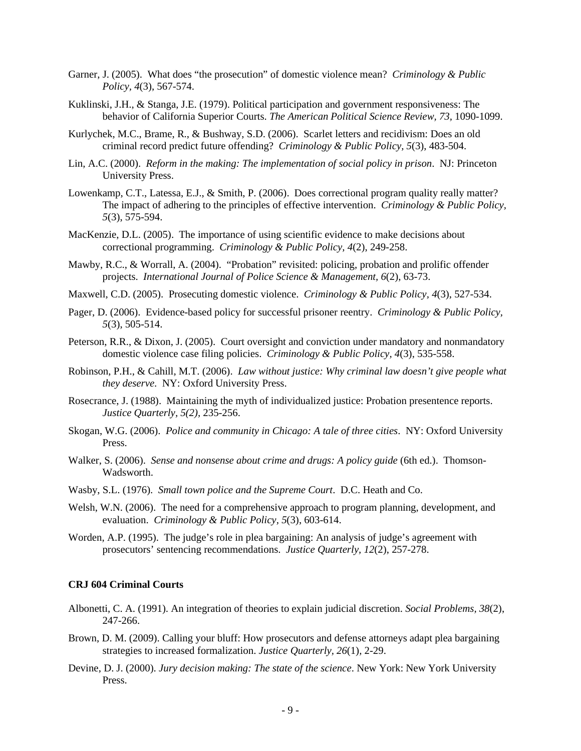- Garner, J. (2005). What does "the prosecution" of domestic violence mean? *Criminology & Public Policy, 4*(3), 567-574.
- Kuklinski, J.H., & Stanga, J.E. (1979). Political participation and government responsiveness: The behavior of California Superior Courts. *The American Political Science Review, 73,* 1090-1099.
- Kurlychek, M.C., Brame, R., & Bushway, S.D. (2006). Scarlet letters and recidivism: Does an old criminal record predict future offending? *Criminology & Public Policy, 5*(3), 483-504.
- Lin, A.C. (2000). *Reform in the making: The implementation of social policy in prison*. NJ: Princeton University Press.
- Lowenkamp, C.T., Latessa, E.J., & Smith, P. (2006). Does correctional program quality really matter? The impact of adhering to the principles of effective intervention. *Criminology & Public Policy, 5*(3), 575-594.
- MacKenzie, D.L. (2005). The importance of using scientific evidence to make decisions about correctional programming. *Criminology & Public Policy, 4*(2), 249-258.
- Mawby, R.C., & Worrall, A. (2004). "Probation" revisited: policing, probation and prolific offender projects. *International Journal of Police Science & Management, 6*(2), 63-73.
- Maxwell, C.D. (2005). Prosecuting domestic violence. *Criminology & Public Policy, 4*(3), 527-534.
- Pager, D. (2006). Evidence-based policy for successful prisoner reentry. *Criminology & Public Policy, 5*(3), 505-514.
- Peterson, R.R., & Dixon, J. (2005). Court oversight and conviction under mandatory and nonmandatory domestic violence case filing policies. *Criminology & Public Policy, 4*(3), 535-558.
- Robinson, P.H., & Cahill, M.T. (2006). *Law without justice: Why criminal law doesn't give people what they deserve*. NY: Oxford University Press.
- Rosecrance, J. (1988). Maintaining the myth of individualized justice: Probation presentence reports. *Justice Quarterly, 5(2),* 235-256.
- Skogan, W.G. (2006). *Police and community in Chicago: A tale of three cities*. NY: Oxford University Press.
- Walker, S. (2006). *Sense and nonsense about crime and drugs: A policy guide* (6th ed.). Thomson-Wadsworth.
- Wasby, S.L. (1976). *Small town police and the Supreme Court*. D.C. Heath and Co.
- Welsh, W.N. (2006). The need for a comprehensive approach to program planning, development, and evaluation. *Criminology & Public Policy, 5*(3), 603-614.
- Worden, A.P. (1995). The judge's role in plea bargaining: An analysis of judge's agreement with prosecutors' sentencing recommendations. *Justice Quarterly, 12*(2), 257-278.

## **CRJ 604 Criminal Courts**

- Albonetti, C. A. (1991). An integration of theories to explain judicial discretion. *Social Problems, 38*(2), 247-266.
- Brown, D. M. (2009). Calling your bluff: How prosecutors and defense attorneys adapt plea bargaining strategies to increased formalization. *Justice Quarterly, 26*(1)*,* 2-29.
- Devine, D. J. (2000). *Jury decision making: The state of the science*. New York: New York University Press.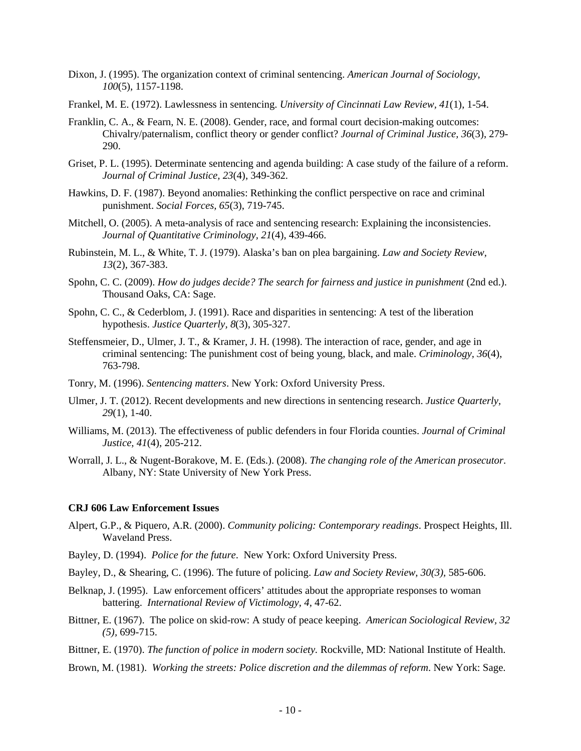- Dixon, J. (1995). The organization context of criminal sentencing. *American Journal of Sociology*, *100*(5), 1157-1198.
- Frankel, M. E. (1972). Lawlessness in sentencing. *University of Cincinnati Law Review, 41*(1), 1-54.
- Franklin, C. A., & Fearn, N. E. (2008). Gender, race, and formal court decision-making outcomes: Chivalry/paternalism, conflict theory or gender conflict? *Journal of Criminal Justice, 36*(3), 279- 290.
- Griset, P. L. (1995). Determinate sentencing and agenda building: A case study of the failure of a reform. *Journal of Criminal Justice, 23*(4), 349-362.
- Hawkins, D. F. (1987). Beyond anomalies: Rethinking the conflict perspective on race and criminal punishment. *Social Forces, 65*(3), 719-745.
- Mitchell, O. (2005). A meta-analysis of race and sentencing research: Explaining the inconsistencies. *Journal of Quantitative Criminology, 21*(4), 439-466.
- Rubinstein, M. L., & White, T. J. (1979). Alaska's ban on plea bargaining. *Law and Society Review, 13*(2), 367-383.
- Spohn, C. C. (2009). *How do judges decide? The search for fairness and justice in punishment* (2nd ed.). Thousand Oaks, CA: Sage.
- Spohn, C. C., & Cederblom, J. (1991). Race and disparities in sentencing: A test of the liberation hypothesis. *Justice Quarterly, 8*(3), 305-327.
- Steffensmeier, D., Ulmer, J. T., & Kramer, J. H. (1998). The interaction of race, gender, and age in criminal sentencing: The punishment cost of being young, black, and male. *Criminology, 36*(4), 763-798.
- Tonry, M. (1996). *Sentencing matters*. New York: Oxford University Press.
- Ulmer, J. T. (2012). Recent developments and new directions in sentencing research. *Justice Quarterly, 29*(1), 1-40.
- Williams, M. (2013). The effectiveness of public defenders in four Florida counties. *Journal of Criminal Justice, 41*(4), 205-212.
- Worrall, J. L., & Nugent-Borakove, M. E. (Eds.). (2008). *The changing role of the American prosecutor*. Albany, NY: State University of New York Press.

#### **CRJ 606 Law Enforcement Issues**

- Alpert, G.P., & Piquero, A.R. (2000). *Community policing: Contemporary readings*. Prospect Heights, Ill. Waveland Press.
- Bayley, D. (1994). *Police for the future*. New York: Oxford University Press.
- Bayley, D., & Shearing, C. (1996). The future of policing. *Law and Society Review, 30(3),* 585-606.
- Belknap, J. (1995). Law enforcement officers' attitudes about the appropriate responses to woman battering. *International Review of Victimology, 4,* 47-62.
- Bittner, E. (1967). The police on skid-row: A study of peace keeping. *American Sociological Review, 32 (5),* 699-715.
- Bittner, E. (1970). *The function of police in modern society.* Rockville, MD: National Institute of Health.
- Brown, M. (1981). *Working the streets: Police discretion and the dilemmas of reform*. New York: Sage.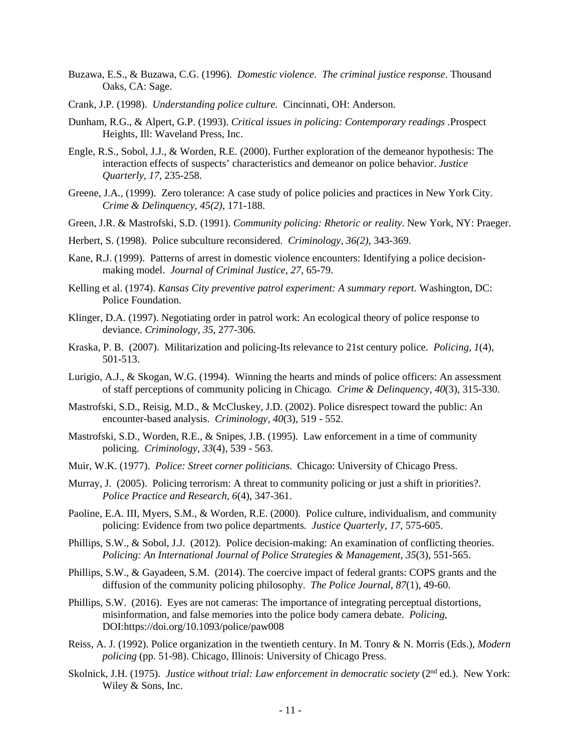- Buzawa, E.S., & Buzawa, C.G. (1996). *Domestic violence. The criminal justice response*. Thousand Oaks, CA: Sage.
- Crank, J.P. (1998). *Understanding police culture.* Cincinnati, OH: Anderson.
- Dunham, R.G., & Alpert, G.P. (1993). *Critical issues in policing: Contemporary readings .*Prospect Heights, Ill: Waveland Press, Inc.
- Engle, R.S., Sobol, J.J., & Worden, R.E. (2000). Further exploration of the demeanor hypothesis: The interaction effects of suspects' characteristics and demeanor on police behavior. *Justice Quarterly, 17*, 235-258.
- Greene, J.A., (1999). Zero tolerance: A case study of police policies and practices in New York City. *Crime & Delinquency, 45(2),* 171-188.
- Green, J.R. & Mastrofski, S.D. (1991). *Community policing: Rhetoric or reality*. New York, NY: Praeger.
- Herbert, S. (1998). Police subculture reconsidered. *Criminology, 36(2),* 343-369.
- Kane, R.J. (1999). Patterns of arrest in domestic violence encounters: Identifying a police decisionmaking model. *Journal of Criminal Justice, 27,* 65-79.
- Kelling et al. (1974). *Kansas City preventive patrol experiment: A summary report.* Washington, DC: Police Foundation.
- Klinger, D.A. (1997). Negotiating order in patrol work: An ecological theory of police response to deviance. *Criminology, 35,* 277-306.
- Kraska, P. B. (2007). Militarization and policing-Its relevance to 21st century police. *Policing, 1*(4), 501-513.
- Lurigio, A.J., & Skogan, W.G. (1994). Winning the hearts and minds of police officers: An assessment of staff perceptions of community policing in Chicago*. Crime & Delinquency, 40*(3), 315-330.
- Mastrofski, S.D., Reisig, M.D., & McCluskey, J.D. (2002). Police disrespect toward the public: An encounter-based analysis. *Criminology, 40*(3), 519 - 552.
- Mastrofski, S.D., Worden, R.E., & Snipes, J.B. (1995). Law enforcement in a time of community policing. *Criminology, 33*(4), 539 - 563.
- Muir, W.K. (1977). *Police: Street corner politicians*. Chicago: University of Chicago Press.
- Murray, J. (2005). Policing terrorism: A threat to community policing or just a shift in priorities?. *Police Practice and Research, 6*(4), 347-361.
- Paoline, E.A. III, Myers, S.M., & Worden, R.E. (2000). Police culture, individualism, and community policing: Evidence from two police departments*. Justice Quarterly, 17,* 575-605.
- Phillips, S.W., & Sobol, J.J. (2012). Police decision-making: An examination of conflicting theories. *Policing: An International Journal of Police Strategies & Management, 35*(3), 551-565.
- Phillips, S.W., & Gayadeen, S.M. (2014). The coercive impact of federal grants: COPS grants and the diffusion of the community policing philosophy. *The Police Journal, 87*(1), 49-60.
- Phillips, S.W. (2016). Eyes are not cameras: The importance of integrating perceptual distortions, misinformation, and false memories into the police body camera debate. *Policing,* DOI[:https://doi.org/10.1093/police/paw008](https://doi.org/10.1093/police/paw008)
- Reiss, A. J. (1992). Police organization in the twentieth century. In M. Tonry & N. Morris (Eds.), *Modern policing* (pp. 51-98). Chicago, Illinois: University of Chicago Press.
- Skolnick, J.H. (1975). *Justice without trial: Law enforcement in democratic society* (2<sup>nd</sup> ed.). New York: Wiley & Sons, Inc.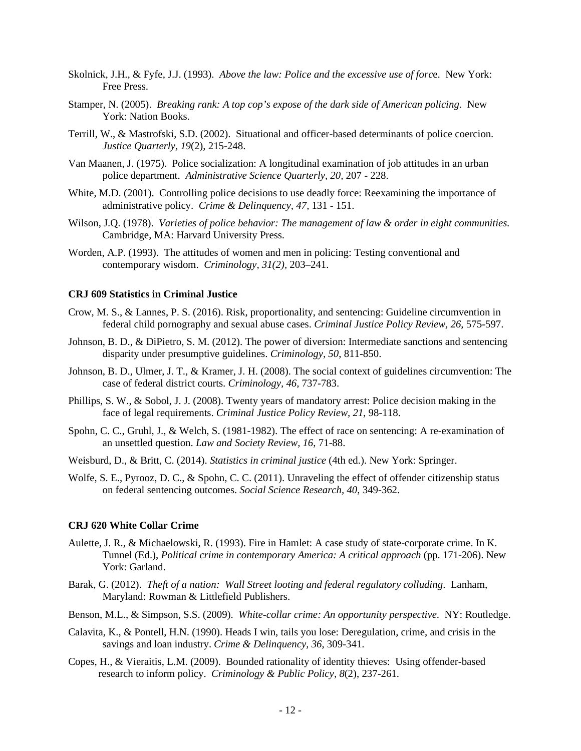- Skolnick, J.H., & Fyfe, J.J. (1993). *Above the law: Police and the excessive use of forc*e. New York: Free Press.
- Stamper, N. (2005). *Breaking rank: A top cop's expose of the dark side of American policing.* New York: Nation Books.
- Terrill, W., & Mastrofski, S.D. (2002). Situational and officer-based determinants of police coercion. *Justice Quarterly, 19*(2), 215-248.
- Van Maanen, J. (1975). Police socialization: A longitudinal examination of job attitudes in an urban police department. *Administrative Science Quarterly, 20,* 207 - 228.
- White, M.D. (2001). Controlling police decisions to use deadly force: Reexamining the importance of administrative policy. *Crime & Delinquency, 47,* 131 - 151.
- Wilson, J.Q. (1978). *Varieties of police behavior: The management of law & order in eight communities.* Cambridge, MA: Harvard University Press.
- Worden, A.P. (1993). The attitudes of women and men in policing: Testing conventional and contemporary wisdom. *Criminology, 31(2),* 203–241.

## **CRJ 609 Statistics in Criminal Justice**

- Crow, M. S., & Lannes, P. S. (2016). Risk, proportionality, and sentencing: Guideline circumvention in federal child pornography and sexual abuse cases. *Criminal Justice Policy Review, 26*, 575-597.
- Johnson, B. D., & DiPietro, S. M. (2012). The power of diversion: Intermediate sanctions and sentencing disparity under presumptive guidelines. *Criminology, 50*, 811-850.
- Johnson, B. D., Ulmer, J. T., & Kramer, J. H. (2008). The social context of guidelines circumvention: The case of federal district courts. *Criminology, 46*, 737-783.
- Phillips, S. W., & Sobol, J. J. (2008). Twenty years of mandatory arrest: Police decision making in the face of legal requirements. *Criminal Justice Policy Review, 21*, 98-118.
- Spohn, C. C., Gruhl, J., & Welch, S. (1981-1982). The effect of race on sentencing: A re-examination of an unsettled question. *Law and Society Review, 16*, 71-88.
- Weisburd, D., & Britt, C. (2014). *Statistics in criminal justice* (4th ed.). New York: Springer.
- Wolfe, S. E., Pyrooz, D. C., & Spohn, C. C. (2011). Unraveling the effect of offender citizenship status on federal sentencing outcomes. *Social Science Research, 40*, 349-362.

#### **CRJ 620 White Collar Crime**

- Aulette, J. R., & Michaelowski, R. (1993). Fire in Hamlet: A case study of state-corporate crime. In K. Tunnel (Ed.), *Political crime in contemporary America: A critical approach* (pp. 171-206). New York: Garland.
- Barak, G. (2012). *Theft of a nation: Wall Street looting and federal regulatory colluding*. Lanham, Maryland: Rowman & Littlefield Publishers.
- Benson, M.L., & Simpson, S.S. (2009). *White-collar crime: An opportunity perspective.* NY: Routledge.
- Calavita, K., & Pontell, H.N. (1990). Heads I win, tails you lose: Deregulation, crime, and crisis in the savings and loan industry. *Crime & Delinquency, 36*, 309-341.
- Copes, H., & Vieraitis, L.M. (2009). Bounded rationality of identity thieves: Using offender-based research to inform policy. *Criminology & Public Policy, 8*(2), 237-261.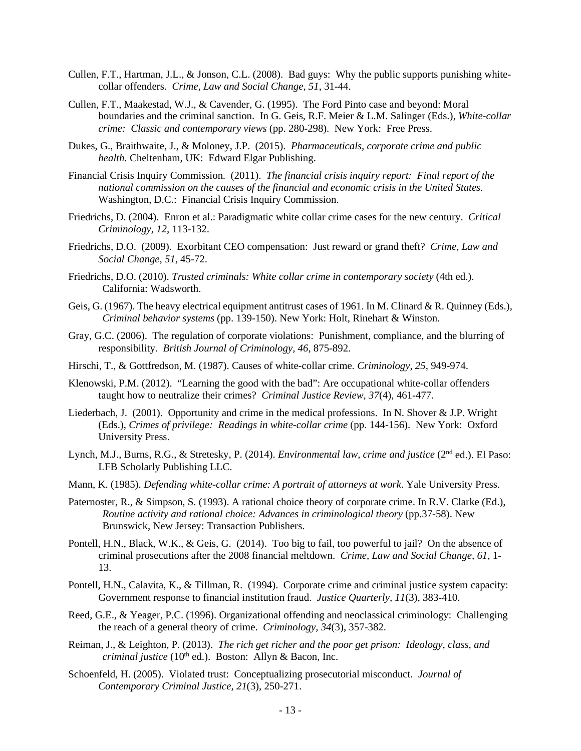- Cullen, F.T., Hartman, J.L., & Jonson, C.L. (2008). Bad guys: Why the public supports punishing whitecollar offenders. *Crime, Law and Social Change, 51*, 31-44.
- Cullen, F.T., Maakestad, W.J., & Cavender, G. (1995). The Ford Pinto case and beyond: Moral boundaries and the criminal sanction. In G. Geis, R.F. Meier & L.M. Salinger (Eds.), *White-collar crime: Classic and contemporary views* (pp. 280-298). New York: Free Press.
- Dukes, G., Braithwaite, J., & Moloney, J.P. (2015). *Pharmaceuticals, corporate crime and public health.* Cheltenham, UK: Edward Elgar Publishing.
- Financial Crisis Inquiry Commission. (2011). *The financial crisis inquiry report: Final report of the national commission on the causes of the financial and economic crisis in the United States.*  Washington, D.C.:Financial Crisis Inquiry Commission.
- Friedrichs, D. (2004). Enron et al.: Paradigmatic white collar crime cases for the new century. *Critical Criminology, 12,* 113-132.
- Friedrichs, D.O. (2009). Exorbitant CEO compensation: Just reward or grand theft? *Crime, Law and Social Change, 51,* 45-72.
- Friedrichs, D.O. (2010). *Trusted criminals: White collar crime in contemporary society* (4th ed.). California: Wadsworth.
- Geis, G. (1967). The heavy electrical equipment antitrust cases of 1961. In M. Clinard & R. Quinney (Eds.), *Criminal behavior systems* (pp. 139-150). New York: Holt, Rinehart & Winston.
- Gray, G.C. (2006). The regulation of corporate violations: Punishment, compliance, and the blurring of responsibility. *British Journal of Criminology, 46*, 875-892*.*
- Hirschi, T., & Gottfredson, M. (1987). Causes of white-collar crime*. Criminology, 25,* 949-974.
- Klenowski, P.M. (2012). "Learning the good with the bad": Are occupational white-collar offenders taught how to neutralize their crimes? *Criminal Justice Review, 37*(4), 461-477.
- Liederbach, J. (2001). Opportunity and crime in the medical professions. In N. Shover & J.P. Wright (Eds.), *Crimes of privilege: Readings in white-collar crime* (pp. 144-156). New York: Oxford University Press.
- Lynch, M.J., Burns, R.G., & Stretesky, P. (2014). *Environmental law, crime and justice* (2nd ed.). El Paso: LFB Scholarly Publishing LLC.
- Mann, K. (1985). *Defending white-collar crime: A portrait of attorneys at work*. Yale University Press.
- Paternoster, R., & Simpson, S. (1993). A rational choice theory of corporate crime. In R.V. Clarke (Ed.), *Routine activity and rational choice: Advances in criminological theory (pp.37-58). New* Brunswick, New Jersey: Transaction Publishers.
- Pontell, H.N., Black, W.K., & Geis, G. (2014). Too big to fail, too powerful to jail? On the absence of criminal prosecutions after the 2008 financial meltdown. *Crime, Law and Social Change, 61*, 1- 13.
- Pontell, H.N., Calavita, K., & Tillman, R. (1994). Corporate crime and criminal justice system capacity: Government response to financial institution fraud. *Justice Quarterly, 11*(3), 383-410.
- Reed, G.E., & Yeager, P.C. (1996). Organizational offending and neoclassical criminology: Challenging the reach of a general theory of crime. *Criminology, 34*(3), 357-382.
- Reiman, J., & Leighton, P. (2013). *The rich get richer and the poor get prison: Ideology, class, and criminal justice* (10<sup>th</sup> ed.). Boston: Allyn & Bacon, Inc.
- Schoenfeld, H. (2005). Violated trust: Conceptualizing prosecutorial misconduct. *Journal of Contemporary Criminal Justice, 21*(3), 250-271.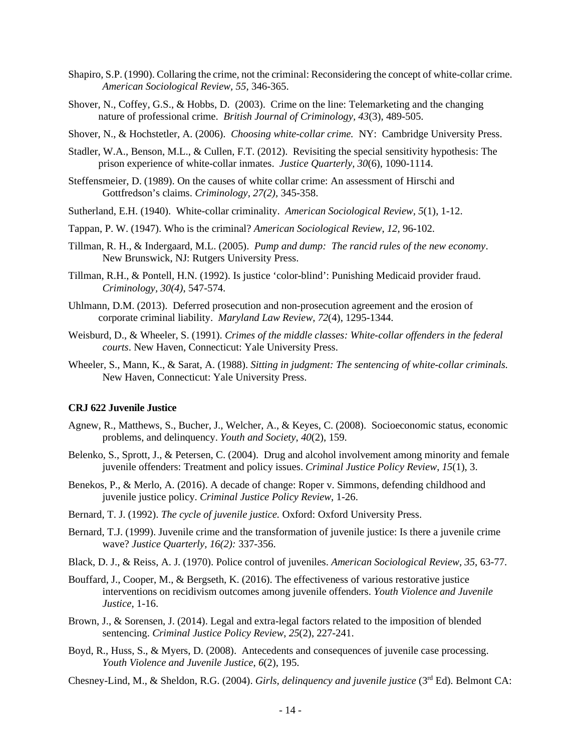- Shapiro, S.P. (1990). Collaring the crime, not the criminal: Reconsidering the concept of white-collar crime. *American Sociological Review, 55,* 346-365.
- Shover, N., Coffey, G.S., & Hobbs, D. (2003). Crime on the line: Telemarketing and the changing nature of professional crime. *British Journal of Criminology, 43*(3), 489-505.
- Shover, N., & Hochstetler, A. (2006). *Choosing white-collar crime.* NY: Cambridge University Press.
- Stadler, W.A., Benson, M.L., & Cullen, F.T. (2012). Revisiting the special sensitivity hypothesis: The prison experience of white-collar inmates. *Justice Quarterly, 30*(6), 1090-1114.
- Steffensmeier, D. (1989). On the causes of white collar crime: An assessment of Hirschi and Gottfredson's claims. *Criminology, 27(2),* 345-358.
- Sutherland, E.H. (1940). White-collar criminality. *American Sociological Review, 5*(1), 1-12.
- Tappan, P. W. (1947). Who is the criminal? *American Sociological Review*, *12,* 96-102.
- Tillman, R. H., & Indergaard, M.L. (2005). *Pump and dump: The rancid rules of the new economy*. New Brunswick, NJ: Rutgers University Press.
- Tillman, R.H., & Pontell, H.N. (1992). Is justice 'color-blind': Punishing Medicaid provider fraud. *Criminology, 30(4)*, 547-574.
- Uhlmann, D.M. (2013). Deferred prosecution and non-prosecution agreement and the erosion of corporate criminal liability. *Maryland Law Review, 72*(4), 1295-1344.
- Weisburd, D., & Wheeler, S. (1991). *Crimes of the middle classes: White-collar offenders in the federal courts*. New Haven, Connecticut: Yale University Press.
- Wheeler, S., Mann, K., & Sarat, A. (1988). *Sitting in judgment: The sentencing of white-collar criminals.* New Haven, Connecticut: Yale University Press.

## **CRJ 622 Juvenile Justice**

- Agnew, R., Matthews, S., Bucher, J., Welcher, A., & Keyes, C. (2008). Socioeconomic status, economic problems, and delinquency. *Youth and Society*, *40*(2), 159.
- Belenko, S., Sprott, J., & Petersen, C. (2004). Drug and alcohol involvement among minority and female juvenile offenders: Treatment and policy issues. *Criminal Justice Policy Review*, *15*(1), 3.
- Benekos, P., & Merlo, A. (2016). A decade of change: Roper v. Simmons, defending childhood and juvenile justice policy. *Criminal Justice Policy Review*, 1-26.
- Bernard, T. J. (1992). *The cycle of juvenile justice.* Oxford: Oxford University Press.
- Bernard, T.J. (1999). Juvenile crime and the transformation of juvenile justice: Is there a juvenile crime wave? *Justice Quarterly, 16(2):* 337-356.
- Black, D. J., & Reiss, A. J. (1970). Police control of juveniles. *American Sociological Review, 35*, 63-77.
- Bouffard, J., Cooper, M., & Bergseth, K. (2016). The effectiveness of various restorative justice interventions on recidivism outcomes among juvenile offenders. *Youth Violence and Juvenile Justice*, 1-16.
- Brown, J., & Sorensen, J. (2014). Legal and extra-legal factors related to the imposition of blended sentencing. *Criminal Justice Policy Review*, *25*(2), 227-241.
- Boyd, R., Huss, S., & Myers, D. (2008). Antecedents and consequences of juvenile case processing. *Youth Violence and Juvenile Justice*, *6*(2), 195.
- Chesney-Lind, M., & Sheldon, R.G. (2004). *Girls, delinquency and juvenile justice* (3<sup>rd</sup> Ed). Belmont CA: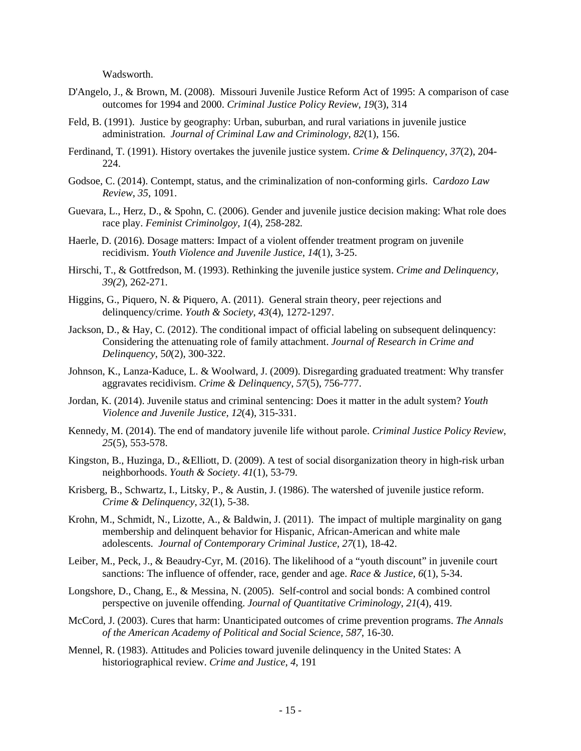Wadsworth.

- D'Angelo, J., & Brown, M. (2008). Missouri Juvenile Justice Reform Act of 1995: A comparison of case outcomes for 1994 and 2000. *Criminal Justice Policy Review*, *19*(3), 314
- Feld, B. (1991). Justice by geography: Urban, suburban, and rural variations in juvenile justice administration. *Journal of Criminal Law and Criminology*, *82*(1), 156.
- Ferdinand, T. (1991). History overtakes the juvenile justice system. *Crime & Delinquency*, *37*(2), 204- 224.
- Godsoe, C. (2014). Contempt, status, and the criminalization of non-conforming girls. C*ardozo Law Review*, *35*, 1091.
- Guevara, L., Herz, D., & Spohn, C. (2006). Gender and juvenile justice decision making: What role does race play. *Feminist Criminolgoy, 1*(4), 258-282*.*
- Haerle, D. (2016). Dosage matters: Impact of a violent offender treatment program on juvenile recidivism. *Youth Violence and Juvenile Justice*, *14*(1), 3-25.
- Hirschi, T., & Gottfredson, M. (1993). Rethinking the juvenile justice system. *Crime and Delinquency, 39(2*), 262-271.
- Higgins, G., Piquero, N. & Piquero, A. (2011). General strain theory, peer rejections and delinquency/crime. *Youth & Society*, *43*(4), 1272-1297.
- Jackson, D., & Hay, C. (2012). The conditional impact of official labeling on subsequent delinquency: Considering the attenuating role of family attachment. *Journal of Research in Crime and Delinquency*, 5*0*(2), 300-322.
- Johnson, K., Lanza-Kaduce, L. & Woolward, J. (2009). Disregarding graduated treatment: Why transfer aggravates recidivism. *Crime & Delinquency*, *57*(5), 756-777.
- Jordan, K. (2014). Juvenile status and criminal sentencing: Does it matter in the adult system? *Youth Violence and Juvenile Justice, 12*(4), 315-331.
- Kennedy, M. (2014). The end of mandatory juvenile life without parole. *Criminal Justice Policy Review*, *25*(5), 553-578.
- Kingston, B., Huzinga, D., &Elliott, D. (2009). A test of social disorganization theory in high-risk urban neighborhoods. *Youth & Society*. *41*(1), 53-79.
- Krisberg, B., Schwartz, I., Litsky, P., & Austin, J. (1986). The watershed of juvenile justice reform. *Crime & Delinquency*, *32*(1), 5-38.
- Krohn, M., Schmidt, N., Lizotte, A., & Baldwin, J. (2011). The impact of multiple marginality on gang membership and delinquent behavior for Hispanic, African-American and white male adolescents. *Journal of Contemporary Criminal Justice, 27*(1), 18-42.
- Leiber, M., Peck, J., & Beaudry-Cyr, M. (2016). The likelihood of a "youth discount" in juvenile court sanctions: The influence of offender, race, gender and age. *Race & Justice*, *6*(1), 5-34.
- Longshore, D., Chang, E., & Messina, N. (2005). Self-control and social bonds: A combined control perspective on juvenile offending. *Journal of Quantitative Criminology*, *21*(4), 419.
- McCord, J. (2003). Cures that harm: Unanticipated outcomes of crime prevention programs. *The Annals of the American Academy of Political and Social Science, 587*, 16-30.
- Mennel, R. (1983). Attitudes and Policies toward juvenile delinquency in the United States: A historiographical review. *Crime and Justice*, *4*, 191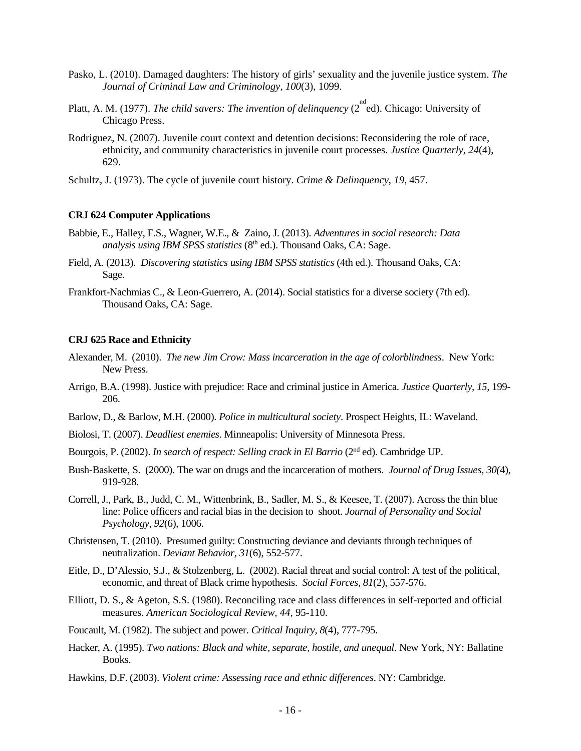- Pasko, L. (2010). Damaged daughters: The history of girls' sexuality and the juvenile justice system. *The Journal of Criminal Law and Criminology*, *100*(3), 1099.
- Platt, A. M. (1977). *The child savers: The invention of delinquency* (2<sup>nd</sup> ed). Chicago: University of Chicago Press.
- Rodriguez, N. (2007). Juvenile court context and detention decisions: Reconsidering the role of race, ethnicity, and community characteristics in juvenile court processes. *Justice Quarterly*, *24*(4), 629.
- Schultz, J. (1973). The cycle of juvenile court history. *Crime & Delinquency*, *19*, 457.

## **CRJ 624 Computer Applications**

- Babbie, E., Halley, F.S., Wagner, W.E., & Zaino, J. (2013). *Adventures in social research: Data analysis using IBM SPSS statistics* (8<sup>th</sup> ed.). Thousand Oaks, CA: Sage.
- Field, A. (2013). *Discovering statistics using IBM SPSS statistics* (4th ed.). Thousand Oaks, CA: Sage.
- Frankfort-Nachmias C., & Leon-Guerrero, A. (2014). Social statistics for a diverse society (7th ed). Thousand Oaks, CA: Sage.

#### **CRJ 625 Race and Ethnicity**

- Alexander, M. (2010). *The new Jim Crow: Mass incarceration in the age of colorblindness*. New York: New Press.
- Arrigo, B.A. (1998). Justice with prejudice: Race and criminal justice in America. *Justice Quarterly, 15,* 199- 206.
- Barlow, D., & Barlow, M.H. (2000). *Police in multicultural society*. Prospect Heights, IL: Waveland.
- Biolosi, T. (2007). *Deadliest enemies*. Minneapolis: University of Minnesota Press.
- Bourgois, P. (2002). *In search of respect: Selling crack in El Barrio* (2<sup>nd</sup> ed). Cambridge UP.
- Bush-Baskette, S. (2000). The war on drugs and the incarceration of mothers. *Journal of Drug Issues, 30(*4), 919-928.
- Correll, J., Park, B., Judd, C. M., Wittenbrink, B., Sadler, M. S., & Keesee, T. (2007). Across the thin blue line: Police officers and racial bias in the decision to shoot. *Journal of Personality and Social Psychology, 92*(6), 1006.
- Christensen, T. (2010). Presumed guilty: Constructing deviance and deviants through techniques of neutralization. *Deviant Behavior, 31*(6), 552-577.
- Eitle, D., D'Alessio, S.J., & Stolzenberg, L. (2002). Racial threat and social control: A test of the political, economic, and threat of Black crime hypothesis. *Social Forces, 81*(2), 557-576.
- Elliott, D. S., & Ageton, S.S. (1980). Reconciling race and class differences in self-reported and official measures. *American Sociological Review, 44,* 95-110.
- Foucault, M. (1982). The subject and power. *Critical Inquiry, 8*(4), 777-795.
- Hacker, A. (1995). *Two nations: Black and white, separate, hostile, and unequal*. New York, NY: Ballatine Books.
- Hawkins, D.F. (2003). *Violent crime: Assessing race and ethnic differences*. NY: Cambridge.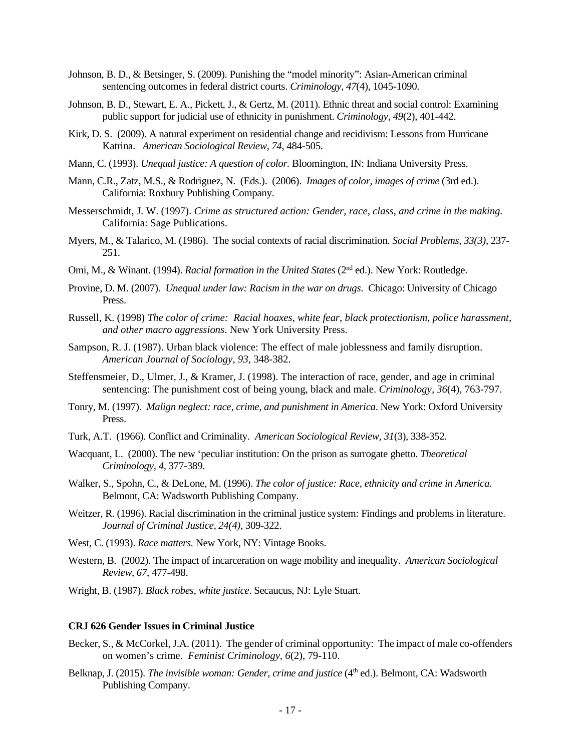- Johnson, B. D., & Betsinger, S. (2009). Punishing the "model minority": Asian-American criminal sentencing outcomes in federal district courts. *Criminology, 47*(4), 1045-1090.
- Johnson, B. D., Stewart, E. A., Pickett, J., & Gertz, M. (2011). Ethnic threat and social control: Examining public support for judicial use of ethnicity in punishment. *Criminology, 49*(2), 401-442.
- Kirk, D. S. (2009). A natural experiment on residential change and recidivism: Lessons from Hurricane Katrina. *American Sociological Review, 74*, 484-505.
- Mann, C. (1993). *Unequal justice: A question of color.* Bloomington, IN: Indiana University Press.
- Mann, C.R., Zatz, M.S., & Rodriguez, N. (Eds.). (2006). *Images of color, images of crime* (3rd ed.). California: Roxbury Publishing Company.
- Messerschmidt, J. W. (1997). *Crime as structured action: Gender, race, class, and crime in the making.* California: Sage Publications.
- Myers, M., & Talarico, M. (1986). The social contexts of racial discrimination. *Social Problems, 33(3)*, 237- 251.
- Omi, M., & Winant. (1994). *Racial formation in the United States* (2<sup>nd</sup> ed.). New York: Routledge.
- Provine, D. M. (2007). *Unequal under law: Racism in the war on drugs*. Chicago: University of Chicago Press.
- Russell, K. (1998) *The color of crime: Racial hoaxes, white fear, black protectionism, police harassment, and other macro aggressions*. New York University Press.
- Sampson, R. J. (1987). Urban black violence: The effect of male joblessness and family disruption. *American Journal of Sociology*, *93*, 348-382.
- Steffensmeier, D., Ulmer, J., & Kramer, J. (1998). The interaction of race, gender, and age in criminal sentencing: The punishment cost of being young, black and male. *Criminology, 36*(4), 763-797.
- Tonry, M. (1997). *Malign neglect: race, crime, and punishment in America*. New York: Oxford University Press.
- Turk, A.T. (1966). Conflict and Criminality. *American Sociological Review, 31*(3), 338-352.
- Wacquant, L. (2000). The new 'peculiar institution: On the prison as surrogate ghetto. *Theoretical Criminology, 4,* 377-389.
- Walker, S., Spohn, C., & DeLone, M. (1996). *The color of justice: Race, ethnicity and crime in America*. Belmont, CA: Wadsworth Publishing Company.
- Weitzer, R. (1996). Racial discrimination in the criminal justice system: Findings and problems in literature. *Journal of Criminal Justice, 24(4)*, 309-322.
- West, C. (1993). *Race matters.* New York, NY: Vintage Books.
- Western, B. (2002). The impact of incarceration on wage mobility and inequality. *American Sociological Review, 67*, 477-498.
- Wright, B. (1987). *Black robes, white justice*. Secaucus, NJ: Lyle Stuart.

## **CRJ 626 Gender Issues in Criminal Justice**

- Becker, S., & McCorkel, J.A. (2011). The gender of criminal opportunity: The impact of male co-offenders on women's crime. *Feminist Criminology, 6*(2), 79-110.
- Belknap, J. (2015). *The invisible woman: Gender, crime and justice* (4<sup>th</sup> ed.). Belmont, CA: Wadsworth Publishing Company.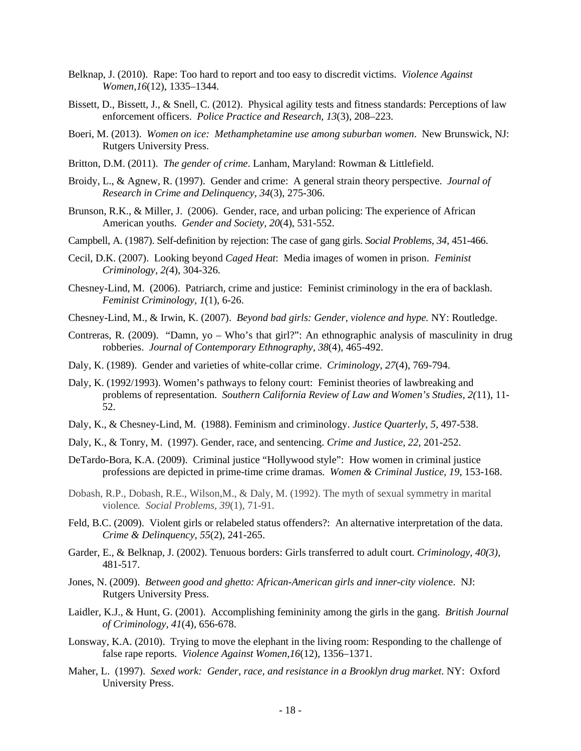- Belknap, J. (2010). Rape: Too hard to report and too easy to discredit victims. *Violence Against Women,16*(12), 1335–1344.
- Bissett, D., Bissett, J., & Snell, C. (2012). Physical agility tests and fitness standards: Perceptions of law enforcement officers. *Police Practice and Research, 13*(3), 208–223.
- Boeri, M. (2013). *Women on ice: Methamphetamine use among suburban women*. New Brunswick, NJ: Rutgers University Press.
- Britton, D.M. (2011). *The gender of crime*. Lanham, Maryland: Rowman & Littlefield.
- Broidy, L., & Agnew, R. (1997). Gender and crime: A general strain theory perspective. *Journal of Research in Crime and Delinquency*, *34*(3), 275-306.
- Brunson, R.K., & Miller, J. (2006). Gender, race, and urban policing: The experience of African American youths. *Gender and Society, 20*(4), 531-552.
- Campbell, A. (1987). Self-definition by rejection: The case of gang girls. *Social Problems, 34,* 451-466.
- Cecil, D.K. (2007). Looking beyond *Caged Heat*: Media images of women in prison. *Feminist Criminology, 2(*4), 304-326.
- Chesney-Lind, M. (2006). Patriarch, crime and justice: Feminist criminology in the era of backlash. *Feminist Criminology, 1*(1), 6-26.
- Chesney-Lind, M., & Irwin, K. (2007). *Beyond bad girls: Gender, violence and hype.* NY: Routledge.
- Contreras, R. (2009). "Damn, yo Who's that girl?": An ethnographic analysis of masculinity in drug robberies. *Journal of Contemporary Ethnography*, *38*(4), 465-492.
- Daly, K. (1989). Gender and varieties of white-collar crime. *Criminology*, *27*(4), 769-794.
- Daly, K. (1992/1993). Women's pathways to felony court: Feminist theories of lawbreaking and problems of representation. *Southern California Review of Law and Women's Studies, 2(*11), 11- 52.
- Daly, K., & Chesney-Lind, M. (1988). Feminism and criminology. *Justice Quarterly, 5,* 497-538.
- Daly, K., & Tonry, M. (1997). Gender, race, and sentencing. *Crime and Justice, 22,* 201-252.
- DeTardo-Bora, K.A. (2009). Criminal justice "Hollywood style": How women in criminal justice professions are depicted in prime-time crime dramas. *Women & Criminal Justice, 19*, 153-168.
- Dobash, R.P., Dobash, R.E., Wilson,M., & Daly, M. (1992). The myth of sexual symmetry in marital violence*. Social Problems, 39*(1), 71-91.
- Feld, B.C. (2009). Violent girls or relabeled status offenders?: An alternative interpretation of the data. *Crime & Delinquency*, *55*(2), 241-265.
- Garder, E., & Belknap, J. (2002). Tenuous borders: Girls transferred to adult court. *Criminology, 40(3),* 481-517.
- Jones, N. (2009). *Between good and ghetto: African-American girls and inner-city violenc*e. NJ: Rutgers University Press.
- Laidler, K.J., & Hunt, G. (2001). Accomplishing femininity among the girls in the gang. *British Journal of Criminology, 41*(4), 656-678.
- Lonsway, K.A. (2010). Trying to move the elephant in the living room: Responding to the challenge of false rape reports. *Violence Against Women,16*(12), 1356–1371.
- Maher, L. (1997). *Sexed work: Gender, race, and resistance in a Brooklyn drug market*. NY: Oxford University Press.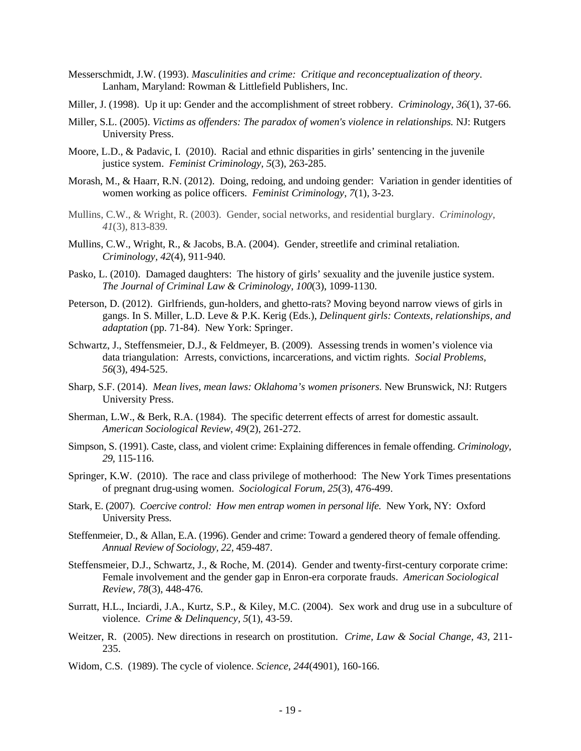- Messerschmidt, J.W. (1993). *Masculinities and crime: Critique and reconceptualization of theory*. Lanham, Maryland: Rowman & Littlefield Publishers, Inc.
- Miller, J. (1998). Up it up: Gender and the accomplishment of street robbery. *Criminology*, *36*(1), 37-66.
- Miller, S.L. (2005). *Victims as offenders: The paradox of women's violence in relationships.* NJ: Rutgers University Press.
- Moore, L.D., & Padavic, I. (2010). Racial and ethnic disparities in girls' sentencing in the juvenile justice system. *Feminist Criminology, 5*(3), 263-285.
- Morash, M., & Haarr, R.N. (2012). Doing, redoing, and undoing gender: Variation in gender identities of women working as police officers. *Feminist Criminology, 7*(1), 3-23.
- Mullins, C.W., & Wright, R. (2003). Gender, social networks, and residential burglary. *Criminology, 41*(3), 813-839*.*
- Mullins, C.W., Wright, R., & Jacobs, B.A. (2004). Gender, streetlife and criminal retaliation. *Criminology, 42*(4), 911-940.
- Pasko, L. (2010). Damaged daughters: The history of girls' sexuality and the juvenile justice system. *The Journal of Criminal Law & Criminology, 100*(3), 1099-1130.
- Peterson, D. (2012). Girlfriends, gun-holders, and ghetto-rats? Moving beyond narrow views of girls in gangs. In S. Miller, L.D. Leve & P.K. Kerig (Eds.), *Delinquent girls: Contexts, relationships, and adaptation* (pp. 71-84). New York: Springer.
- Schwartz, J., Steffensmeier, D.J., & Feldmeyer, B. (2009). Assessing trends in women's violence via data triangulation: Arrests, convictions, incarcerations, and victim rights. *Social Problems, 56*(3), 494-525.
- Sharp, S.F. (2014). *Mean lives, mean laws: Oklahoma's women prisoners.* New Brunswick, NJ: Rutgers University Press.
- Sherman, L.W., & Berk, R.A. (1984). The specific deterrent effects of arrest for domestic assault. *American Sociological Review, 49*(2), 261-272.
- Simpson, S. (1991). Caste, class, and violent crime: Explaining differences in female offending. *Criminology, 29,* 115-116.
- Springer, K.W. (2010). The race and class privilege of motherhood: The New York Times presentations of pregnant drug-using women. *Sociological Forum, 25*(3), 476-499.
- Stark, E. (2007). *Coercive control: How men entrap women in personal life.* New York, NY: Oxford University Press.
- Steffenmeier, D., & Allan, E.A. (1996). Gender and crime: Toward a gendered theory of female offending. *Annual Review of Sociology, 22,* 459-487.
- Steffensmeier, D.J., Schwartz, J., & Roche, M. (2014). Gender and twenty-first-century corporate crime: Female involvement and the gender gap in Enron-era corporate frauds. *American Sociological Review, 78*(3), 448-476.
- Surratt, H.L., Inciardi, J.A., Kurtz, S.P., & Kiley, M.C. (2004). Sex work and drug use in a subculture of violence. *Crime & Delinquency, 5*(1), 43-59.
- Weitzer, R. (2005). New directions in research on prostitution. *Crime, Law & Social Change, 43,* 211- 235.
- Widom, C.S. (1989). The cycle of violence. *Science*, *244*(4901), 160-166.